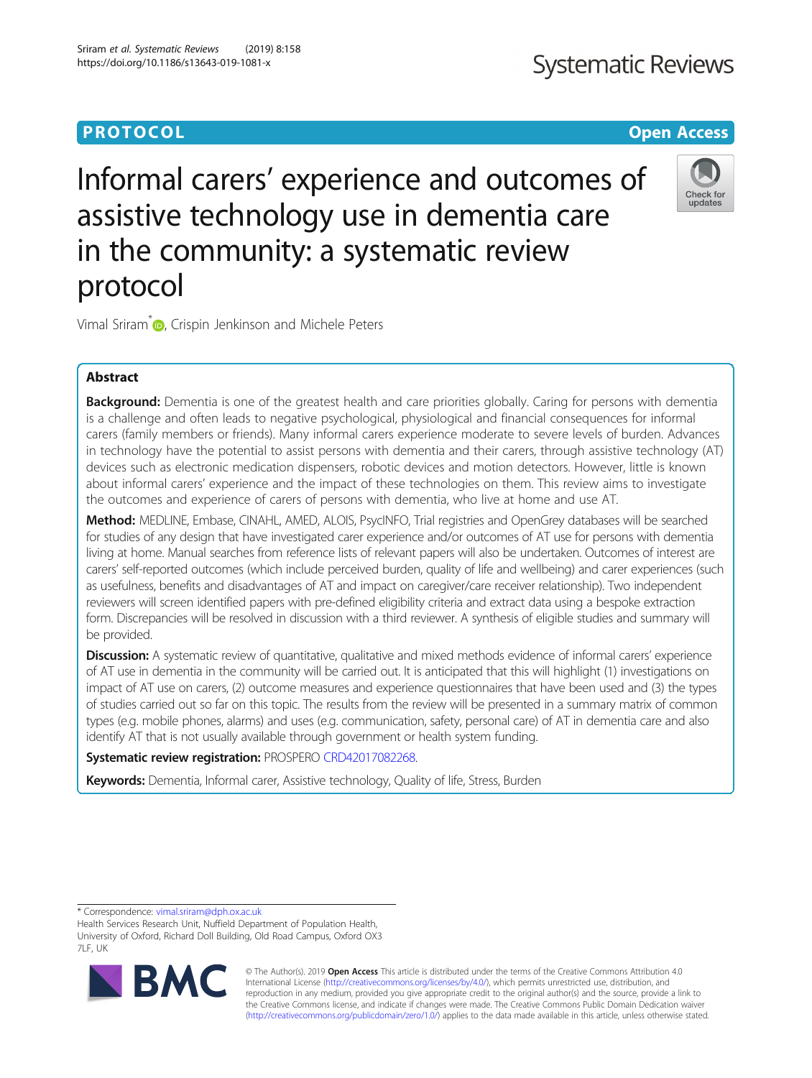# **PROTOCOL CONSUMING THE OPEN ACCESS**

# **Systematic Reviews**

# Informal carers' experience and outcomes of assistive technology use in dementia care in the community: a systematic review protocol



Vimal Sriram<sup>\*</sup> <sub>(b)</sub>[,](http://orcid.org/0000-0003-2139-8591) Crispin Jenkinson and Michele Peters

# Abstract

Background: Dementia is one of the greatest health and care priorities globally. Caring for persons with dementia is a challenge and often leads to negative psychological, physiological and financial consequences for informal carers (family members or friends). Many informal carers experience moderate to severe levels of burden. Advances in technology have the potential to assist persons with dementia and their carers, through assistive technology (AT) devices such as electronic medication dispensers, robotic devices and motion detectors. However, little is known about informal carers' experience and the impact of these technologies on them. This review aims to investigate the outcomes and experience of carers of persons with dementia, who live at home and use AT.

Method: MEDLINE, Embase, CINAHL, AMED, ALOIS, PsycINFO, Trial registries and OpenGrey databases will be searched for studies of any design that have investigated carer experience and/or outcomes of AT use for persons with dementia living at home. Manual searches from reference lists of relevant papers will also be undertaken. Outcomes of interest are carers' self-reported outcomes (which include perceived burden, quality of life and wellbeing) and carer experiences (such as usefulness, benefits and disadvantages of AT and impact on caregiver/care receiver relationship). Two independent reviewers will screen identified papers with pre-defined eligibility criteria and extract data using a bespoke extraction form. Discrepancies will be resolved in discussion with a third reviewer. A synthesis of eligible studies and summary will be provided.

Discussion: A systematic review of quantitative, qualitative and mixed methods evidence of informal carers' experience of AT use in dementia in the community will be carried out. It is anticipated that this will highlight (1) investigations on impact of AT use on carers, (2) outcome measures and experience questionnaires that have been used and (3) the types of studies carried out so far on this topic. The results from the review will be presented in a summary matrix of common types (e.g. mobile phones, alarms) and uses (e.g. communication, safety, personal care) of AT in dementia care and also identify AT that is not usually available through government or health system funding.

Systematic review registration: PROSPERO [CRD42017082268.](http://www.crd.york.ac.uk/PROSPERO/display_record.php?ID=CRD42017082268)

Keywords: Dementia, Informal carer, Assistive technology, Quality of life, Stress, Burden

\* Correspondence: [vimal.sriram@dph.ox.ac.uk](mailto:vimal.sriram@dph.ox.ac.uk)

Health Services Research Unit, Nuffield Department of Population Health, University of Oxford, Richard Doll Building, Old Road Campus, Oxford OX3 7LF, UK



© The Author(s). 2019 Open Access This article is distributed under the terms of the Creative Commons Attribution 4.0 International License [\(http://creativecommons.org/licenses/by/4.0/](http://creativecommons.org/licenses/by/4.0/)), which permits unrestricted use, distribution, and reproduction in any medium, provided you give appropriate credit to the original author(s) and the source, provide a link to the Creative Commons license, and indicate if changes were made. The Creative Commons Public Domain Dedication waiver [\(http://creativecommons.org/publicdomain/zero/1.0/](http://creativecommons.org/publicdomain/zero/1.0/)) applies to the data made available in this article, unless otherwise stated.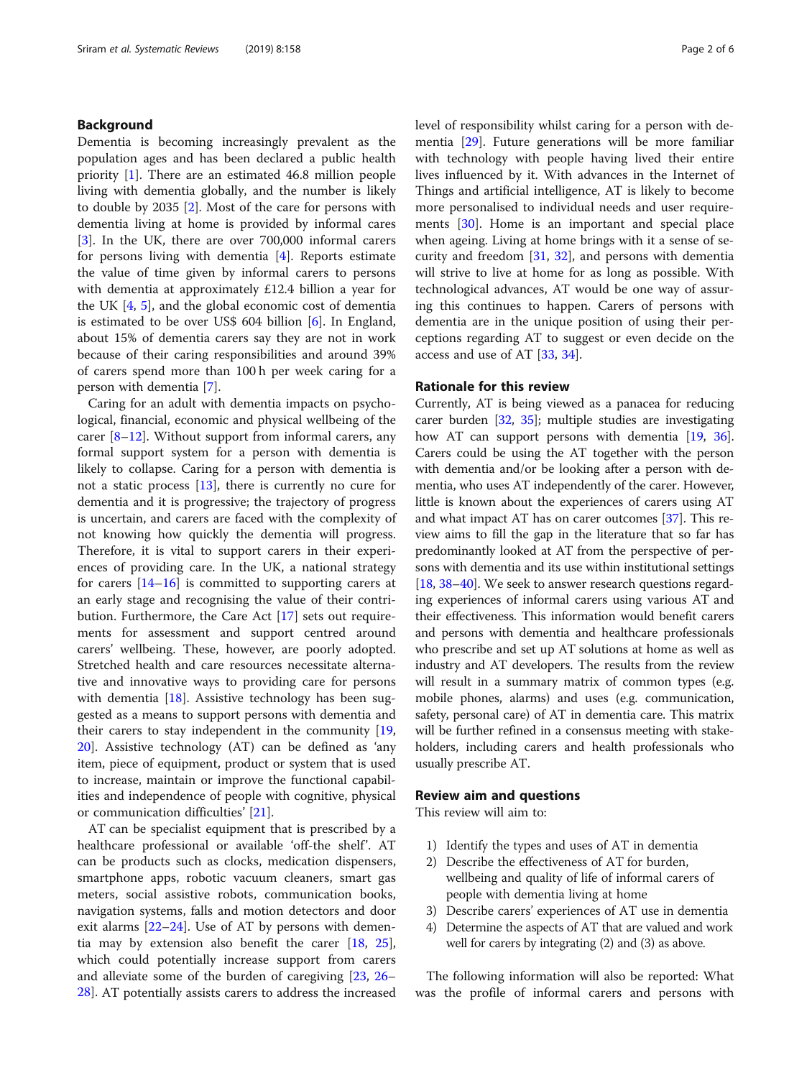# Background

Dementia is becoming increasingly prevalent as the population ages and has been declared a public health priority [\[1](#page-4-0)]. There are an estimated 46.8 million people living with dementia globally, and the number is likely to double by 2035 [[2\]](#page-4-0). Most of the care for persons with dementia living at home is provided by informal cares [[3\]](#page-4-0). In the UK, there are over 700,000 informal carers for persons living with dementia [\[4\]](#page-4-0). Reports estimate the value of time given by informal carers to persons with dementia at approximately £12.4 billion a year for the UK [[4,](#page-4-0) [5](#page-4-0)], and the global economic cost of dementia is estimated to be over US\$ 604 billion [[6\]](#page-4-0). In England, about 15% of dementia carers say they are not in work because of their caring responsibilities and around 39% of carers spend more than 100 h per week caring for a person with dementia [[7\]](#page-4-0).

Caring for an adult with dementia impacts on psychological, financial, economic and physical wellbeing of the carer  $[8-12]$  $[8-12]$  $[8-12]$  $[8-12]$  $[8-12]$ . Without support from informal carers, any formal support system for a person with dementia is likely to collapse. Caring for a person with dementia is not a static process [\[13](#page-5-0)], there is currently no cure for dementia and it is progressive; the trajectory of progress is uncertain, and carers are faced with the complexity of not knowing how quickly the dementia will progress. Therefore, it is vital to support carers in their experiences of providing care. In the UK, a national strategy for carers  $[14–16]$  $[14–16]$  $[14–16]$  $[14–16]$  $[14–16]$  is committed to supporting carers at an early stage and recognising the value of their contribution. Furthermore, the Care Act [[17\]](#page-5-0) sets out requirements for assessment and support centred around carers' wellbeing. These, however, are poorly adopted. Stretched health and care resources necessitate alternative and innovative ways to providing care for persons with dementia [[18\]](#page-5-0). Assistive technology has been suggested as a means to support persons with dementia and their carers to stay independent in the community [[19](#page-5-0), [20\]](#page-5-0). Assistive technology (AT) can be defined as 'any item, piece of equipment, product or system that is used to increase, maintain or improve the functional capabilities and independence of people with cognitive, physical or communication difficulties' [[21\]](#page-5-0).

AT can be specialist equipment that is prescribed by a healthcare professional or available 'off-the shelf'. AT can be products such as clocks, medication dispensers, smartphone apps, robotic vacuum cleaners, smart gas meters, social assistive robots, communication books, navigation systems, falls and motion detectors and door exit alarms [[22](#page-5-0)–[24](#page-5-0)]. Use of AT by persons with dementia may by extension also benefit the carer [[18,](#page-5-0) [25](#page-5-0)], which could potentially increase support from carers and alleviate some of the burden of caregiving [\[23,](#page-5-0) [26](#page-5-0)– [28\]](#page-5-0). AT potentially assists carers to address the increased level of responsibility whilst caring for a person with dementia [\[29](#page-5-0)]. Future generations will be more familiar with technology with people having lived their entire lives influenced by it. With advances in the Internet of Things and artificial intelligence, AT is likely to become more personalised to individual needs and user requirements [[30](#page-5-0)]. Home is an important and special place when ageing. Living at home brings with it a sense of security and freedom [\[31](#page-5-0), [32\]](#page-5-0), and persons with dementia will strive to live at home for as long as possible. With technological advances, AT would be one way of assuring this continues to happen. Carers of persons with dementia are in the unique position of using their perceptions regarding AT to suggest or even decide on the access and use of AT [\[33,](#page-5-0) [34\]](#page-5-0).

# Rationale for this review

Currently, AT is being viewed as a panacea for reducing carer burden [[32](#page-5-0), [35\]](#page-5-0); multiple studies are investigating how AT can support persons with dementia [\[19,](#page-5-0) [36](#page-5-0)]. Carers could be using the AT together with the person with dementia and/or be looking after a person with dementia, who uses AT independently of the carer. However, little is known about the experiences of carers using AT and what impact AT has on carer outcomes [[37](#page-5-0)]. This review aims to fill the gap in the literature that so far has predominantly looked at AT from the perspective of persons with dementia and its use within institutional settings [[18](#page-5-0), [38](#page-5-0)–[40](#page-5-0)]. We seek to answer research questions regarding experiences of informal carers using various AT and their effectiveness. This information would benefit carers and persons with dementia and healthcare professionals who prescribe and set up AT solutions at home as well as industry and AT developers. The results from the review will result in a summary matrix of common types (e.g. mobile phones, alarms) and uses (e.g. communication, safety, personal care) of AT in dementia care. This matrix will be further refined in a consensus meeting with stakeholders, including carers and health professionals who usually prescribe AT.

# Review aim and questions

This review will aim to:

- 1) Identify the types and uses of AT in dementia
- 2) Describe the effectiveness of AT for burden, wellbeing and quality of life of informal carers of people with dementia living at home
- 3) Describe carers' experiences of AT use in dementia
- 4) Determine the aspects of AT that are valued and work well for carers by integrating (2) and (3) as above.

The following information will also be reported: What was the profile of informal carers and persons with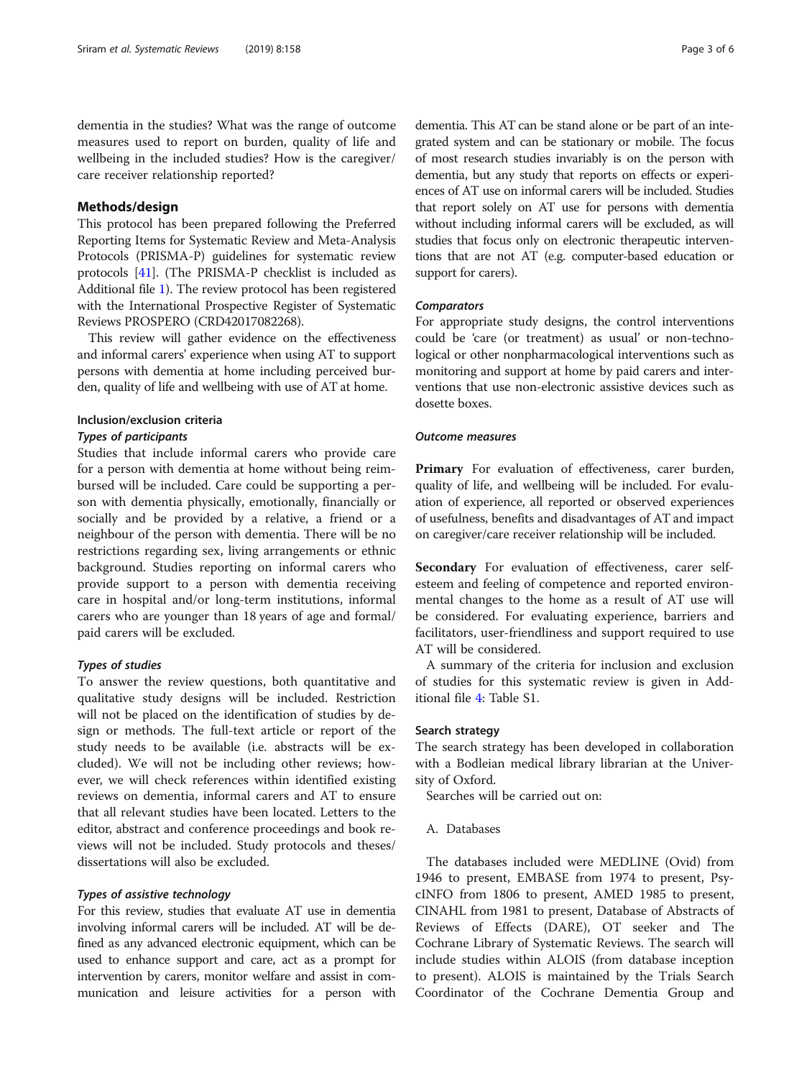dementia in the studies? What was the range of outcome measures used to report on burden, quality of life and wellbeing in the included studies? How is the caregiver/ care receiver relationship reported?

# Methods/design

This protocol has been prepared following the Preferred Reporting Items for Systematic Review and Meta-Analysis Protocols (PRISMA-P) guidelines for systematic review protocols [[41](#page-5-0)]. (The PRISMA-P checklist is included as Additional file [1](#page-4-0)). The review protocol has been registered with the International Prospective Register of Systematic Reviews PROSPERO (CRD42017082268).

This review will gather evidence on the effectiveness and informal carers' experience when using AT to support persons with dementia at home including perceived burden, quality of life and wellbeing with use of AT at home.

#### Inclusion/exclusion criteria

#### Types of participants

Studies that include informal carers who provide care for a person with dementia at home without being reimbursed will be included. Care could be supporting a person with dementia physically, emotionally, financially or socially and be provided by a relative, a friend or a neighbour of the person with dementia. There will be no restrictions regarding sex, living arrangements or ethnic background. Studies reporting on informal carers who provide support to a person with dementia receiving care in hospital and/or long-term institutions, informal carers who are younger than 18 years of age and formal/ paid carers will be excluded.

# Types of studies

To answer the review questions, both quantitative and qualitative study designs will be included. Restriction will not be placed on the identification of studies by design or methods. The full-text article or report of the study needs to be available (i.e. abstracts will be excluded). We will not be including other reviews; however, we will check references within identified existing reviews on dementia, informal carers and AT to ensure that all relevant studies have been located. Letters to the editor, abstract and conference proceedings and book reviews will not be included. Study protocols and theses/ dissertations will also be excluded.

## Types of assistive technology

For this review, studies that evaluate AT use in dementia involving informal carers will be included. AT will be defined as any advanced electronic equipment, which can be used to enhance support and care, act as a prompt for intervention by carers, monitor welfare and assist in communication and leisure activities for a person with

dementia. This AT can be stand alone or be part of an integrated system and can be stationary or mobile. The focus of most research studies invariably is on the person with dementia, but any study that reports on effects or experiences of AT use on informal carers will be included. Studies that report solely on AT use for persons with dementia without including informal carers will be excluded, as will studies that focus only on electronic therapeutic interventions that are not AT (e.g. computer-based education or support for carers).

# **Comparators**

For appropriate study designs, the control interventions could be 'care (or treatment) as usual' or non-technological or other nonpharmacological interventions such as monitoring and support at home by paid carers and interventions that use non-electronic assistive devices such as dosette boxes.

## Outcome measures

Primary For evaluation of effectiveness, carer burden, quality of life, and wellbeing will be included. For evaluation of experience, all reported or observed experiences of usefulness, benefits and disadvantages of AT and impact on caregiver/care receiver relationship will be included.

Secondary For evaluation of effectiveness, carer selfesteem and feeling of competence and reported environmental changes to the home as a result of AT use will be considered. For evaluating experience, barriers and facilitators, user-friendliness and support required to use AT will be considered.

A summary of the criteria for inclusion and exclusion of studies for this systematic review is given in Additional file [4:](#page-4-0) Table S1.

# Search strategy

The search strategy has been developed in collaboration with a Bodleian medical library librarian at the University of Oxford.

Searches will be carried out on:

A. Databases

The databases included were MEDLINE (Ovid) from 1946 to present, EMBASE from 1974 to present, PsycINFO from 1806 to present, AMED 1985 to present, CINAHL from 1981 to present, Database of Abstracts of Reviews of Effects (DARE), OT seeker and The Cochrane Library of Systematic Reviews. The search will include studies within ALOIS (from database inception to present). ALOIS is maintained by the Trials Search Coordinator of the Cochrane Dementia Group and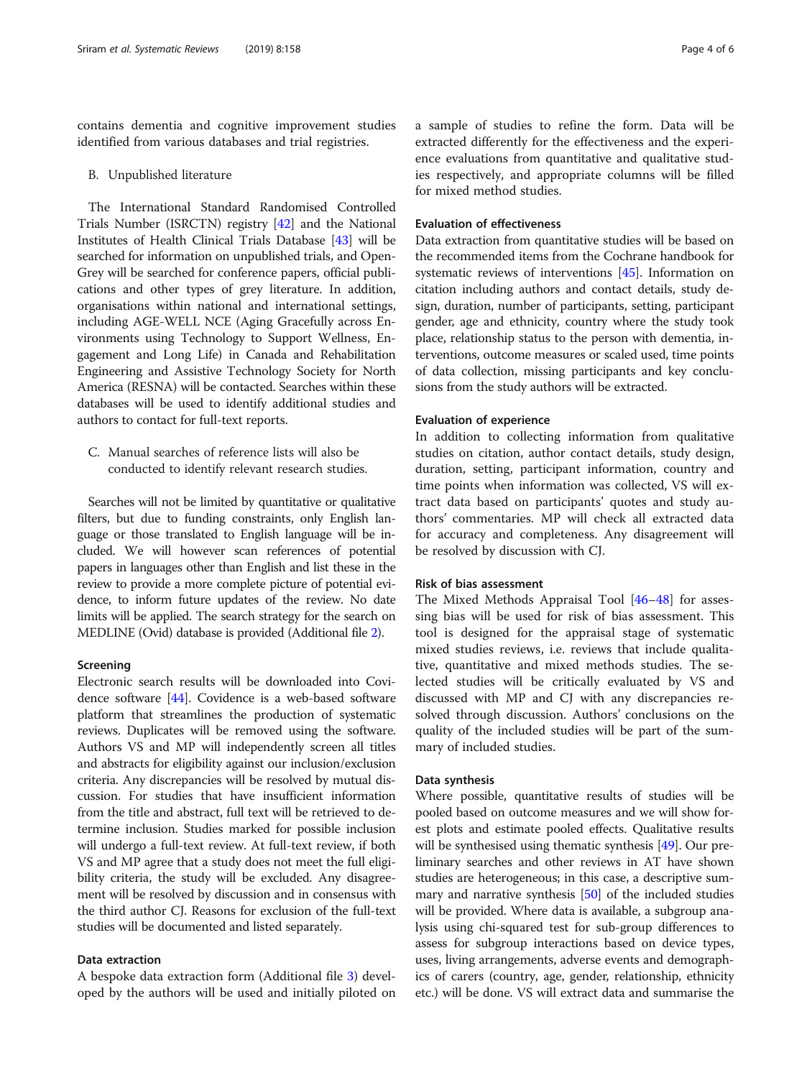contains dementia and cognitive improvement studies identified from various databases and trial registries.

#### B. Unpublished literature

The International Standard Randomised Controlled Trials Number (ISRCTN) registry [[42](#page-5-0)] and the National Institutes of Health Clinical Trials Database [[43\]](#page-5-0) will be searched for information on unpublished trials, and Open-Grey will be searched for conference papers, official publications and other types of grey literature. In addition, organisations within national and international settings, including AGE-WELL NCE (Aging Gracefully across Environments using Technology to Support Wellness, Engagement and Long Life) in Canada and Rehabilitation Engineering and Assistive Technology Society for North America (RESNA) will be contacted. Searches within these databases will be used to identify additional studies and authors to contact for full-text reports.

C. Manual searches of reference lists will also be conducted to identify relevant research studies.

Searches will not be limited by quantitative or qualitative filters, but due to funding constraints, only English language or those translated to English language will be included. We will however scan references of potential papers in languages other than English and list these in the review to provide a more complete picture of potential evidence, to inform future updates of the review. No date limits will be applied. The search strategy for the search on MEDLINE (Ovid) database is provided (Additional file [2\)](#page-4-0).

# Screening

Electronic search results will be downloaded into Covidence software [[44](#page-5-0)]. Covidence is a web-based software platform that streamlines the production of systematic reviews. Duplicates will be removed using the software. Authors VS and MP will independently screen all titles and abstracts for eligibility against our inclusion/exclusion criteria. Any discrepancies will be resolved by mutual discussion. For studies that have insufficient information from the title and abstract, full text will be retrieved to determine inclusion. Studies marked for possible inclusion will undergo a full-text review. At full-text review, if both VS and MP agree that a study does not meet the full eligibility criteria, the study will be excluded. Any disagreement will be resolved by discussion and in consensus with the third author CJ. Reasons for exclusion of the full-text studies will be documented and listed separately.

# Data extraction

A bespoke data extraction form (Additional file [3\)](#page-4-0) developed by the authors will be used and initially piloted on a sample of studies to refine the form. Data will be extracted differently for the effectiveness and the experience evaluations from quantitative and qualitative studies respectively, and appropriate columns will be filled for mixed method studies.

# Evaluation of effectiveness

Data extraction from quantitative studies will be based on the recommended items from the Cochrane handbook for systematic reviews of interventions [[45](#page-5-0)]. Information on citation including authors and contact details, study design, duration, number of participants, setting, participant gender, age and ethnicity, country where the study took place, relationship status to the person with dementia, interventions, outcome measures or scaled used, time points of data collection, missing participants and key conclusions from the study authors will be extracted.

## Evaluation of experience

In addition to collecting information from qualitative studies on citation, author contact details, study design, duration, setting, participant information, country and time points when information was collected, VS will extract data based on participants' quotes and study authors' commentaries. MP will check all extracted data for accuracy and completeness. Any disagreement will be resolved by discussion with CJ.

# Risk of bias assessment

The Mixed Methods Appraisal Tool [[46](#page-5-0)–[48](#page-5-0)] for assessing bias will be used for risk of bias assessment. This tool is designed for the appraisal stage of systematic mixed studies reviews, i.e. reviews that include qualitative, quantitative and mixed methods studies. The selected studies will be critically evaluated by VS and discussed with MP and CJ with any discrepancies resolved through discussion. Authors' conclusions on the quality of the included studies will be part of the summary of included studies.

# Data synthesis

Where possible, quantitative results of studies will be pooled based on outcome measures and we will show forest plots and estimate pooled effects. Qualitative results will be synthesised using thematic synthesis [\[49\]](#page-5-0). Our preliminary searches and other reviews in AT have shown studies are heterogeneous; in this case, a descriptive summary and narrative synthesis [[50](#page-5-0)] of the included studies will be provided. Where data is available, a subgroup analysis using chi-squared test for sub-group differences to assess for subgroup interactions based on device types, uses, living arrangements, adverse events and demographics of carers (country, age, gender, relationship, ethnicity etc.) will be done. VS will extract data and summarise the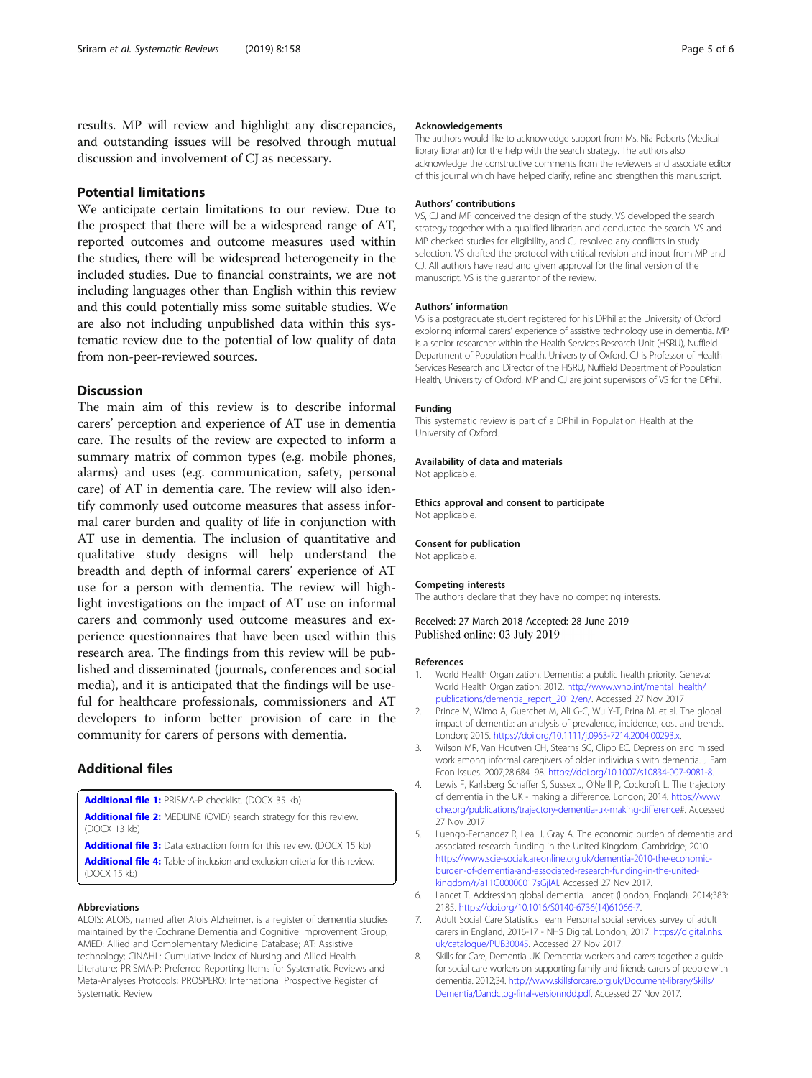<span id="page-4-0"></span>results. MP will review and highlight any discrepancies, and outstanding issues will be resolved through mutual discussion and involvement of CJ as necessary.

# Potential limitations

We anticipate certain limitations to our review. Due to the prospect that there will be a widespread range of AT, reported outcomes and outcome measures used within the studies, there will be widespread heterogeneity in the included studies. Due to financial constraints, we are not including languages other than English within this review and this could potentially miss some suitable studies. We are also not including unpublished data within this systematic review due to the potential of low quality of data from non-peer-reviewed sources.

# **Discussion**

The main aim of this review is to describe informal carers' perception and experience of AT use in dementia care. The results of the review are expected to inform a summary matrix of common types (e.g. mobile phones, alarms) and uses (e.g. communication, safety, personal care) of AT in dementia care. The review will also identify commonly used outcome measures that assess informal carer burden and quality of life in conjunction with AT use in dementia. The inclusion of quantitative and qualitative study designs will help understand the breadth and depth of informal carers' experience of AT use for a person with dementia. The review will highlight investigations on the impact of AT use on informal carers and commonly used outcome measures and experience questionnaires that have been used within this research area. The findings from this review will be published and disseminated (journals, conferences and social media), and it is anticipated that the findings will be useful for healthcare professionals, commissioners and AT developers to inform better provision of care in the community for carers of persons with dementia.

# Additional files

[Additional file 1:](https://doi.org/10.1186/s13643-019-1081-x) PRISMA-P checklist. (DOCX 35 kb) [Additional file 2:](https://doi.org/10.1186/s13643-019-1081-x) MEDLINE (OVID) search strategy for this review. (DOCX 13 kb)

[Additional file 3:](https://doi.org/10.1186/s13643-019-1081-x) Data extraction form for this review. (DOCX 15 kb)

[Additional file 4:](https://doi.org/10.1186/s13643-019-1081-x) Table of inclusion and exclusion criteria for this review. (DOCX 15 kb)

#### Abbreviations

ALOIS: ALOIS, named after Alois Alzheimer, is a register of dementia studies maintained by the Cochrane Dementia and Cognitive Improvement Group; AMED: Allied and Complementary Medicine Database; AT: Assistive technology; CINAHL: Cumulative Index of Nursing and Allied Health Literature; PRISMA-P: Preferred Reporting Items for Systematic Reviews and Meta-Analyses Protocols; PROSPERO: International Prospective Register of Systematic Review

#### Acknowledgements

The authors would like to acknowledge support from Ms. Nia Roberts (Medical library librarian) for the help with the search strategy. The authors also acknowledge the constructive comments from the reviewers and associate editor of this journal which have helped clarify, refine and strengthen this manuscript.

#### Authors' contributions

VS, CJ and MP conceived the design of the study. VS developed the search strategy together with a qualified librarian and conducted the search. VS and MP checked studies for eligibility, and CJ resolved any conflicts in study selection. VS drafted the protocol with critical revision and input from MP and CJ. All authors have read and given approval for the final version of the manuscript. VS is the guarantor of the review.

#### Authors' information

VS is a postgraduate student registered for his DPhil at the University of Oxford exploring informal carers' experience of assistive technology use in dementia. MP is a senior researcher within the Health Services Research Unit (HSRU), Nuffield Department of Population Health, University of Oxford. CJ is Professor of Health Services Research and Director of the HSRU, Nuffield Department of Population Health, University of Oxford. MP and CJ are joint supervisors of VS for the DPhil.

#### Funding

This systematic review is part of a DPhil in Population Health at the University of Oxford.

#### Availability of data and materials

Not applicable

Ethics approval and consent to participate Not applicable.

# Consent for publication

Not applicable.

#### Competing interests

The authors declare that they have no competing interests.

Received: 27 March 2018 Accepted: 28 June 2019 Published online: 03 July 2019

#### References

- 1. World Health Organization. Dementia: a public health priority. Geneva: World Health Organization; 2012. [http://www.who.int/mental\\_health/](http://www.who.int/mental_health/publications/dementia_report_2012/en/) [publications/dementia\\_report\\_2012/en/.](http://www.who.int/mental_health/publications/dementia_report_2012/en/) Accessed 27 Nov 2017
- 2. Prince M, Wimo A, Guerchet M, Ali G-C, Wu Y-T, Prina M, et al. The global impact of dementia: an analysis of prevalence, incidence, cost and trends. London; 2015. [https://doi.org/10.1111/j.0963-7214.2004.00293.x.](https://doi.org/10.1111/j.0963-7214.2004.00293.x)
- 3. Wilson MR, Van Houtven CH, Stearns SC, Clipp EC. Depression and missed work among informal caregivers of older individuals with dementia. J Fam Econ Issues. 2007;28:684–98. [https://doi.org/10.1007/s10834-007-9081-8.](https://doi.org/10.1007/s10834-007-9081-8)
- 4. Lewis F, Karlsberg Schaffer S, Sussex J, O'Neill P, Cockcroft L. The trajectory of dementia in the UK - making a difference. London; 2014. [https://www.](https://www.ohe.org/publications/trajectory-dementia-uk-making-difference) [ohe.org/publications/trajectory-dementia-uk-making-difference#](https://www.ohe.org/publications/trajectory-dementia-uk-making-difference). Accessed 27 Nov 2017
- 5. Luengo-Fernandez R, Leal J, Gray A. The economic burden of dementia and associated research funding in the United Kingdom. Cambridge; 2010. [https://www.scie-socialcareonline.org.uk/dementia-2010-the-economic](https://www.scie-socialcareonline.org.uk/dementia-2010-the-economic-burden-of-dementia-and-associated-research-funding-in-the-united-kingdom/r/a11G00000017sGjIAI)[burden-of-dementia-and-associated-research-funding-in-the-united](https://www.scie-socialcareonline.org.uk/dementia-2010-the-economic-burden-of-dementia-and-associated-research-funding-in-the-united-kingdom/r/a11G00000017sGjIAI)[kingdom/r/a11G00000017sGjIAI](https://www.scie-socialcareonline.org.uk/dementia-2010-the-economic-burden-of-dementia-and-associated-research-funding-in-the-united-kingdom/r/a11G00000017sGjIAI). Accessed 27 Nov 2017.
- 6. Lancet T. Addressing global dementia. Lancet (London, England). 2014;383: 2185. [https://doi.org/10.1016/S0140-6736\(14\)61066-7.](https://doi.org/10.1016/S0140-6736(14)61066-7)
- 7. Adult Social Care Statistics Team. Personal social services survey of adult carers in England, 2016-17 - NHS Digital. London; 2017. [https://digital.nhs.](https://digital.nhs.uk/catalogue/PUB30045) [uk/catalogue/PUB30045.](https://digital.nhs.uk/catalogue/PUB30045) Accessed 27 Nov 2017.
- 8. Skills for Care, Dementia UK. Dementia: workers and carers together: a guide for social care workers on supporting family and friends carers of people with dementia. 2012;34. [http://www.skillsforcare.org.uk/Document-library/Skills/](http://www.skillsforcare.org.uk/Document-library/Skills/Dementia/Dandctog-final-versionndd.pdf) [Dementia/Dandctog-final-versionndd.pdf](http://www.skillsforcare.org.uk/Document-library/Skills/Dementia/Dandctog-final-versionndd.pdf). Accessed 27 Nov 2017.